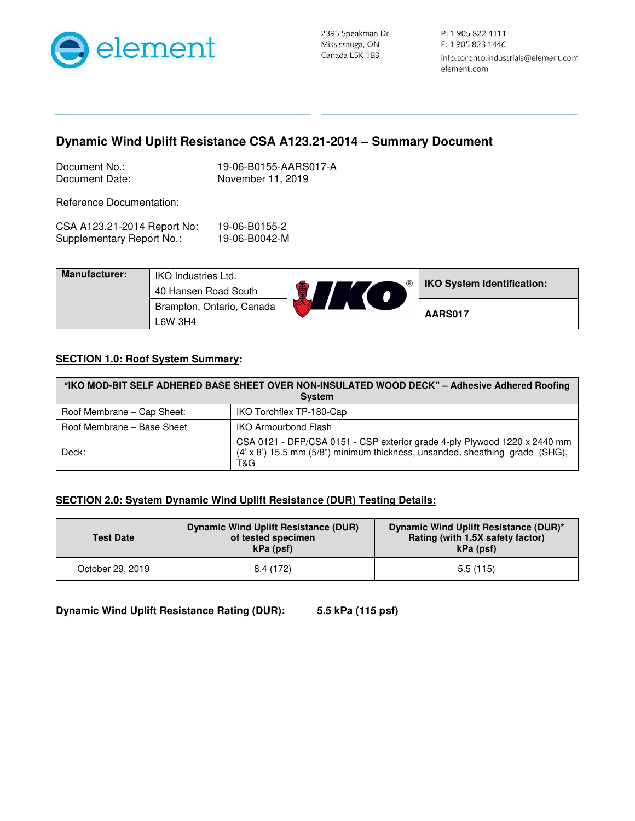

## **Dynamic Wind Uplift Resistance CSA A123.21-2014 – Summary Document**

| Document No.:  | 19-06-B0155-AARS017-A |
|----------------|-----------------------|
| Document Date: | November 11, 2019     |

Reference Documentation:

| CSA A123.21-2014 Report No: | 19-06-B0155-2 |
|-----------------------------|---------------|
| Supplementary Report No.:   | 19-06-B0042-M |

| <b>Manufacturer:</b> | <b>IKO Industries Ltd.</b> | $^{\circledR}$ | <b>IKO System Identification:</b> |
|----------------------|----------------------------|----------------|-----------------------------------|
|                      | 40 Hansen Road South       |                |                                   |
|                      | Brampton, Ontario, Canada  |                | AARS017                           |
|                      | L6W 3H4                    |                |                                   |

## **SECTION 1.0: Roof System Summary:**

| "IKO MOD-BIT SELF ADHERED BASE SHEET OVER NON-INSULATED WOOD DECK" - Adhesive Adhered Roofing<br><b>System</b> |                                                                                                                                                                  |  |
|----------------------------------------------------------------------------------------------------------------|------------------------------------------------------------------------------------------------------------------------------------------------------------------|--|
| Roof Membrane – Cap Sheet:                                                                                     | IKO Torchflex TP-180-Cap                                                                                                                                         |  |
| Roof Membrane - Base Sheet                                                                                     | <b>IKO Armourbond Flash</b>                                                                                                                                      |  |
| Deck:                                                                                                          | CSA 0121 - DFP/CSA 0151 - CSP exterior grade 4-ply Plywood 1220 x 2440 mm<br>(4' x 8') 15.5 mm (5/8") minimum thickness, unsanded, sheathing grade (SHG),<br>T&G |  |

## **SECTION 2.0: System Dynamic Wind Uplift Resistance (DUR) Testing Details:**

| <b>Test Date</b> | Dynamic Wind Uplift Resistance (DUR)<br>of tested specimen<br>kPa (psf) | Dynamic Wind Uplift Resistance (DUR)*<br>Rating (with 1.5X safety factor)<br>kPa (psf) |
|------------------|-------------------------------------------------------------------------|----------------------------------------------------------------------------------------|
| October 29, 2019 | 8.4 (172)                                                               | 5.5(115)                                                                               |

**Dynamic Wind Uplift Resistance Rating (DUR): 5.5 kPa (115 psf)**